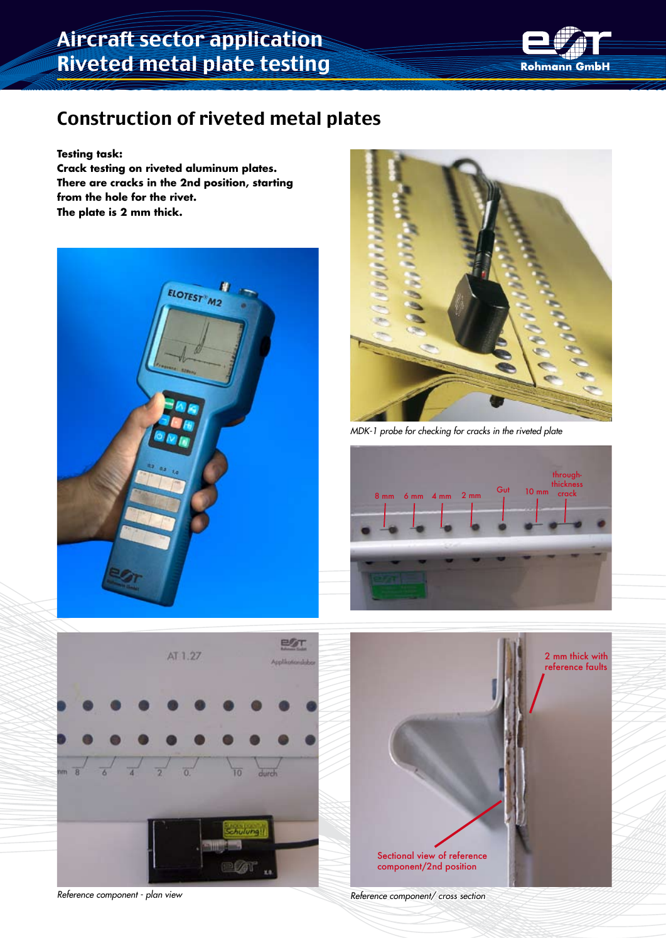## Aircraft sector application Riveted metal plate testing



### Construction of riveted metal plates

**Testing task:**

**Crack testing on riveted aluminum plates. There are cracks in the 2nd position, starting from the hole for the rivet. The plate is 2 mm thick.**





*MDK-1 probe for checking for cracks in the riveted plate*





*Reference component - plan view Reference component/ cross section*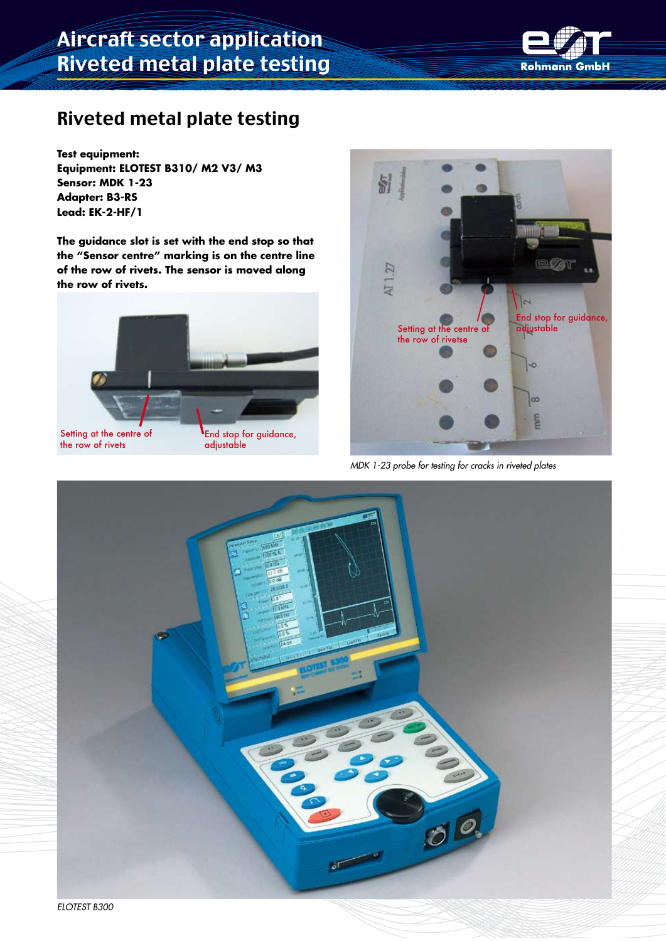### Riveted metal plate testing

**Test equipment: Equipment: ELOTEST B310/ M2 V3/ M3 Sensor: MDK 1-23 Adapter: B3-RS Lead: EK-2-HF/1**

**The guidance slot is set with the end stop so that the "Sensor centre" marking is on the centre line of the row of rivets. The sensor is moved along the row of rivets.**

**End stop for guidance,** 

adjustable

Setting at the centre of the row of rivets